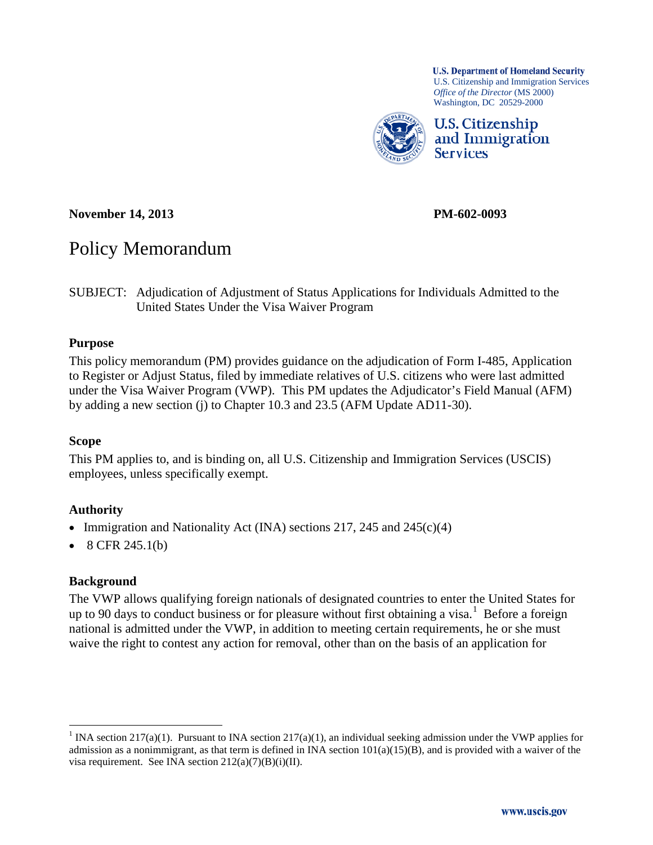

**November 14, 2013 PM-602-0093**

# Policy Memorandum

SUBJECT: Adjudication of Adjustment of Status Applications for Individuals Admitted to the United States Under the Visa Waiver Program

#### **Purpose**

This policy memorandum (PM) provides guidance on the adjudication of Form I-485, Application to Register or Adjust Status, filed by immediate relatives of U.S. citizens who were last admitted under the Visa Waiver Program (VWP). This PM updates the Adjudicator's Field Manual (AFM) by adding a new section (j) to Chapter 10.3 and 23.5 (AFM Update AD11-30).

#### **Scope**

This PM applies to, and is binding on, all U.S. Citizenship and Immigration Services (USCIS) employees, unless specifically exempt.

#### **Authority**

- Immigration and Nationality Act (INA) sections 217, 245 and 245 $(c)(4)$
- 8 CFR 245.1(b)

#### **Background**

The VWP allows qualifying foreign nationals of designated countries to enter the United States for up to 90 days to conduct business or for pleasure without first obtaining a visa.<sup>[1](#page-0-0)</sup> Before a foreign national is admitted under the VWP, in addition to meeting certain requirements, he or she must waive the right to contest any action for removal, other than on the basis of an application for

<span id="page-0-0"></span><sup>&</sup>lt;sup>1</sup> INA section 217(a)(1). Pursuant to INA section 217(a)(1), an individual seeking admission under the VWP applies for admission as a nonimmigrant, as that term is defined in INA section  $101(a)(15)(B)$ , and is provided with a waiver of the visa requirement. See INA section  $212(a)(7)(B)(i)(II)$ .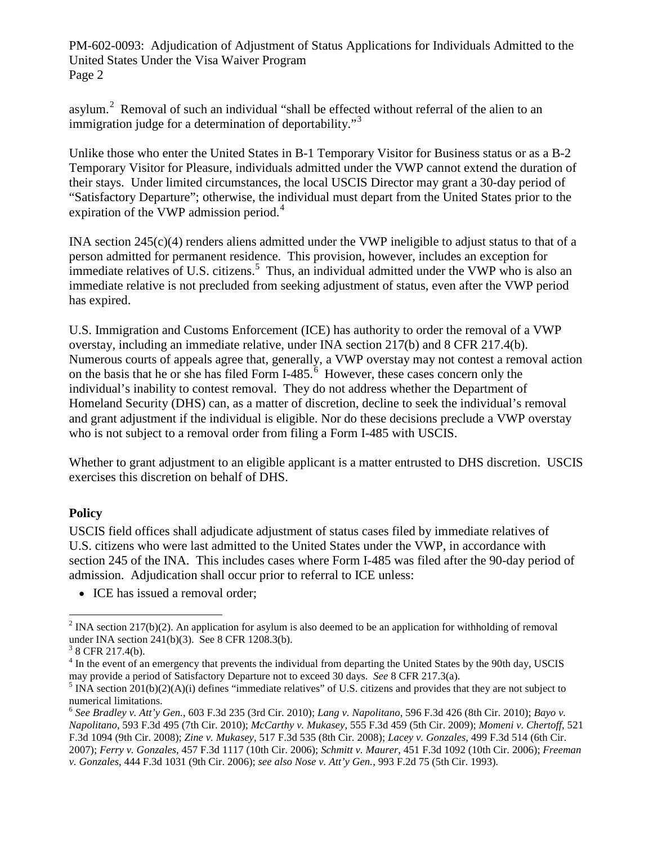asylum.<sup>[2](#page-1-0)</sup> Removal of such an individual "shall be effected without referral of the alien to an immigration judge for a determination of deportability."<sup>[3](#page-1-1)</sup>

Unlike those who enter the United States in B-1 Temporary Visitor for Business status or as a B-2 Temporary Visitor for Pleasure, individuals admitted under the VWP cannot extend the duration of their stays. Under limited circumstances, the local USCIS Director may grant a 30-day period of "Satisfactory Departure"; otherwise, the individual must depart from the United States prior to the expiration of the VWP admission period.<sup>[4](#page-1-2)</sup>

INA section  $245(c)(4)$  renders aliens admitted under the VWP ineligible to adjust status to that of a person admitted for permanent residence. This provision, however, includes an exception for immediate relatives of U.S. citizens.<sup>[5](#page-1-3)</sup> Thus, an individual admitted under the VWP who is also an immediate relative is not precluded from seeking adjustment of status, even after the VWP period has expired.

U.S. Immigration and Customs Enforcement (ICE) has authority to order the removal of a VWP overstay, including an immediate relative, under INA section 217(b) and 8 CFR 217.4(b). Numerous courts of appeals agree that, generally, a VWP overstay may not contest a removal action on the basis that he or she has filed Form I-485. $\frac{6}{6}$  $\frac{6}{6}$  $\frac{6}{6}$  However, these cases concern only the individual's inability to contest removal. They do not address whether the Department of Homeland Security (DHS) can, as a matter of discretion, decline to seek the individual's removal and grant adjustment if the individual is eligible. Nor do these decisions preclude a VWP overstay who is not subject to a removal order from filing a Form I-485 with USCIS.

Whether to grant adjustment to an eligible applicant is a matter entrusted to DHS discretion. USCIS exercises this discretion on behalf of DHS.

#### **Policy**

USCIS field offices shall adjudicate adjustment of status cases filed by immediate relatives of U.S. citizens who were last admitted to the United States under the VWP, in accordance with section 245 of the INA. This includes cases where Form I-485 was filed after the 90-day period of admission. Adjudication shall occur prior to referral to ICE unless:

• ICE has issued a removal order;

<span id="page-1-0"></span> $2$  INA section 217(b)(2). An application for asylum is also deemed to be an application for withholding of removal under INA section 241(b)(3). See 8 CFR 1208.3(b).

<span id="page-1-1"></span> $3$  8 CFR 217.4(b).

<span id="page-1-2"></span> $4$  In the event of an emergency that prevents the individual from departing the United States by the 90th day, USCIS may provide a period of Satisfactory Departure not to exceed 30 days. *See* 8 CFR 217.3(a).

<span id="page-1-3"></span><sup>&</sup>lt;sup>5</sup> INA section  $201(b)(2)(A)(i)$  defines "immediate relatives" of U.S. citizens and provides that they are not subject to numerical limitations.

<span id="page-1-4"></span><sup>6</sup> *See Bradley v. Att'y Gen.*, 603 F.3d 235 (3rd Cir. 2010); *Lang v. Napolitano*, 596 F.3d 426 (8th Cir. 2010); *Bayo v. Napolitano*, 593 F.3d 495 (7th Cir. 2010); *McCarthy v. Mukasey*, 555 F.3d 459 (5th Cir. 2009); *Momeni v. Chertoff*, 521 F.3d 1094 (9th Cir. 2008); *Zine v. Mukasey*, 517 F.3d 535 (8th Cir. 2008); *Lacey v. Gonzales*, 499 F.3d 514 (6th Cir. 2007); *Ferry v. Gonzales*, 457 F.3d 1117 (10th Cir. 2006); *Schmitt v. Maurer*, 451 F.3d 1092 (10th Cir. 2006); *Freeman v. Gonzales*, 444 F.3d 1031 (9th Cir. 2006); *see also Nose v. Att'y Gen.*, 993 F.2d 75 (5th Cir. 1993).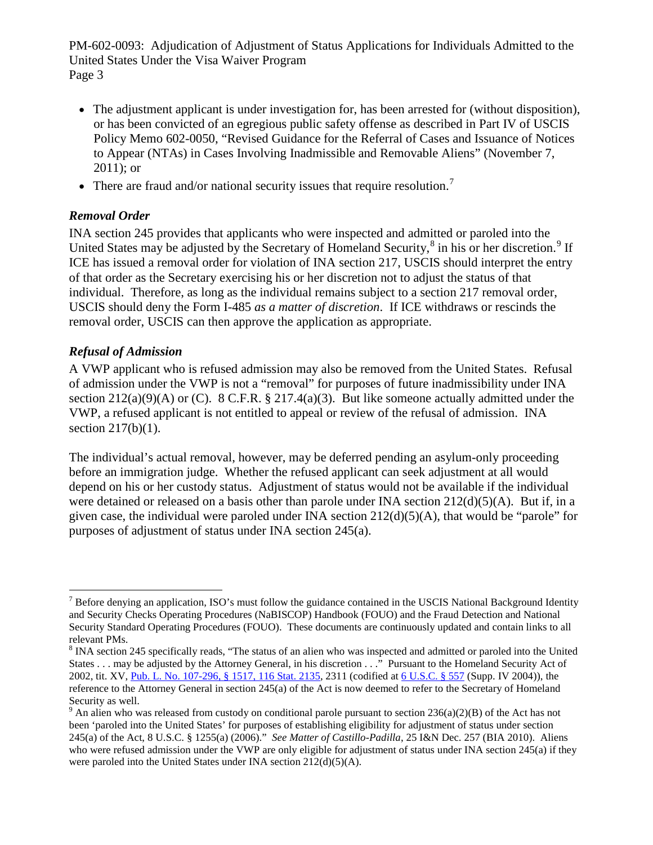- The adjustment applicant is under investigation for, has been arrested for (without disposition), or has been convicted of an egregious public safety offense as described in Part IV of USCIS Policy Memo 602-0050, "Revised Guidance for the Referral of Cases and Issuance of Notices to Appear (NTAs) in Cases Involving Inadmissible and Removable Aliens" (November 7, 2011); or
- There are fraud and/or national security issues that require resolution.<sup>[7](#page-2-0)</sup>

## *Removal Order*

INA section 245 provides that applicants who were inspected and admitted or paroled into the United States may be adjusted by the Secretary of Homeland Security,<sup>[8](#page-2-1)</sup> in his or her discretion.<sup>[9](#page-2-2)</sup> If ICE has issued a removal order for violation of INA section 217, USCIS should interpret the entry of that order as the Secretary exercising his or her discretion not to adjust the status of that individual. Therefore, as long as the individual remains subject to a section 217 removal order, USCIS should deny the Form I-485 *as a matter of discretion*. If ICE withdraws or rescinds the removal order, USCIS can then approve the application as appropriate.

## *Refusal of Admission*

A VWP applicant who is refused admission may also be removed from the United States. Refusal of admission under the VWP is not a "removal" for purposes of future inadmissibility under INA section  $212(a)(9)(A)$  or (C). 8 C.F.R. § 217.4(a)(3). But like someone actually admitted under the VWP, a refused applicant is not entitled to appeal or review of the refusal of admission. INA section 217(b)(1).

The individual's actual removal, however, may be deferred pending an asylum-only proceeding before an immigration judge. Whether the refused applicant can seek adjustment at all would depend on his or her custody status. Adjustment of status would not be available if the individual were detained or released on a basis other than parole under INA section  $212(d)(5)(A)$ . But if, in a given case, the individual were paroled under INA section 212(d)(5)(A), that would be "parole" for purposes of adjustment of status under INA section 245(a).

<span id="page-2-0"></span> $<sup>7</sup>$  Before denying an application, ISO's must follow the guidance contained in the USCIS National Background Identity</sup> and Security Checks Operating Procedures (NaBISCOP) Handbook (FOUO) and the Fraud Detection and National Security Standard Operating Procedures (FOUO). These documents are continuously updated and contain links to all relevant PMs.

<span id="page-2-1"></span> $8$  INA section 245 specifically reads, "The status of an alien who was inspected and admitted or paroled into the United States . . . may be adjusted by the Attorney General, in his discretion . . ." Pursuant to the Homeland Security Act of 2002, tit. XV[, Pub. L. No. 107-296, § 1517, 116 Stat. 2135,](http://www.westlaw.com/Find/Default.wl?rs=dfa1.0&vr=2.0&DB=1077005&DocName=UU%28ID79FB6899E-2C448F9EC1A-546081C08AC%29&FindType=l) 2311 (codified at [6 U.S.C. § 557](http://www.westlaw.com/Find/Default.wl?rs=dfa1.0&vr=2.0&DB=1000546&DocName=6USCAS557&FindType=L) (Supp. IV 2004)), the reference to the Attorney General in section 245(a) of the Act is now deemed to refer to the Secretary of Homeland Security as well.

<span id="page-2-2"></span><sup>&</sup>lt;sup>9</sup> An alien who was released from custody on conditional parole pursuant to section  $236(a)(2)(B)$  of the Act has not been 'paroled into the United States' for purposes of establishing eligibility for adjustment of status under section 245(a) of the Act, 8 U.S.C. § 1255(a) (2006)." *See Matter of Castillo-Padilla*, 25 I&N Dec. 257 (BIA 2010). Aliens who were refused admission under the VWP are only eligible for adjustment of status under INA section 245(a) if they were paroled into the United States under INA section 212(d)(5)(A).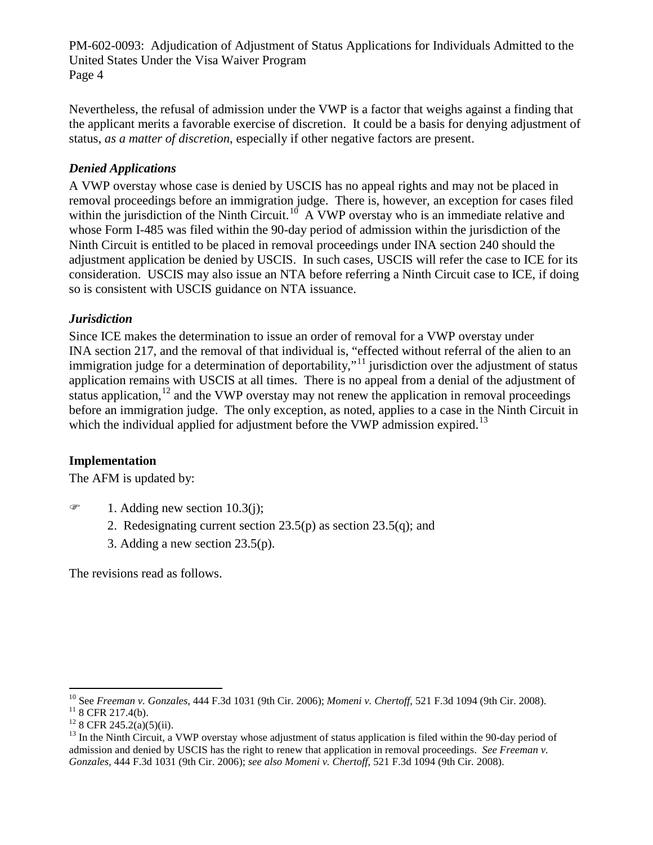Nevertheless, the refusal of admission under the VWP is a factor that weighs against a finding that the applicant merits a favorable exercise of discretion. It could be a basis for denying adjustment of status, *as a matter of discretion*, especially if other negative factors are present.

# *Denied Applications*

A VWP overstay whose case is denied by USCIS has no appeal rights and may not be placed in removal proceedings before an immigration judge. There is, however, an exception for cases filed within the jurisdiction of the Ninth Circuit.<sup>10</sup> A VWP overstay who is an immediate relative and whose Form I-485 was filed within the 90-day period of admission within the jurisdiction of the Ninth Circuit is entitled to be placed in removal proceedings under INA section 240 should the adjustment application be denied by USCIS. In such cases, USCIS will refer the case to ICE for its consideration. USCIS may also issue an NTA before referring a Ninth Circuit case to ICE, if doing so is consistent with USCIS guidance on NTA issuance.

## *Jurisdiction*

Since ICE makes the determination to issue an order of removal for a VWP overstay under INA section 217, and the removal of that individual is, "effected without referral of the alien to an immigration judge for a determination of deportability,"<sup>[11](#page-3-1)</sup> jurisdiction over the adjustment of status application remains with USCIS at all times. There is no appeal from a denial of the adjustment of status application, $^{12}$  $^{12}$  $^{12}$  and the VWP overstay may not renew the application in removal proceedings before an immigration judge. The only exception, as noted, applies to a case in the Ninth Circuit in which the individual applied for adjustment before the VWP admission expired.<sup>[13](#page-3-3)</sup>

#### **Implementation**

The AFM is updated by:

- $\mathcal{F}$  1. Adding new section 10.3(j);
	- 2. Redesignating current section 23.5(p) as section 23.5(q); and
	- 3. Adding a new section 23.5(p).

The revisions read as follows.

<span id="page-3-0"></span><sup>&</sup>lt;sup>10</sup> See *Freeman v. Gonzales*, 444 F.3d 1031 (9th Cir. 2006); *Momeni v. Chertoff*, 521 F.3d 1094 (9th Cir. 2008).<br><sup>11</sup> 8 CFR 217.4(b).<br><sup>12</sup> 8 CFR 245.2(a)(5)(ii).<br><sup>13</sup> In the Ninth Circuit, a VWP overstay whose adjustme

<span id="page-3-1"></span>

<span id="page-3-3"></span><span id="page-3-2"></span>admission and denied by USCIS has the right to renew that application in removal proceedings. *See Freeman v. Gonzales*, 444 F.3d 1031 (9th Cir. 2006); *see also Momeni v. Chertoff*, 521 F.3d 1094 (9th Cir. 2008).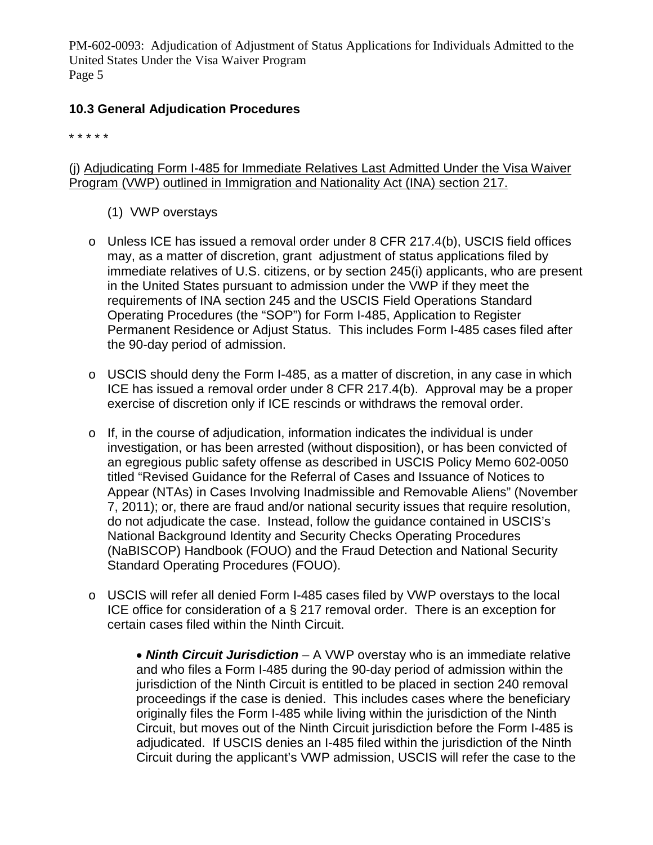# **10.3 General Adjudication Procedures**

\* \* \* \* \*

(j) Adjudicating Form I-485 for Immediate Relatives Last Admitted Under the Visa Waiver Program (VWP) outlined in Immigration and Nationality Act (INA) section 217.

- (1) VWP overstays
- o Unless ICE has issued a removal order under 8 CFR 217.4(b), USCIS field offices may, as a matter of discretion, grant adjustment of status applications filed by immediate relatives of U.S. citizens, or by section 245(i) applicants, who are present in the United States pursuant to admission under the VWP if they meet the requirements of INA section 245 and the USCIS Field Operations Standard Operating Procedures (the "SOP") for Form I-485, Application to Register Permanent Residence or Adjust Status. This includes Form I-485 cases filed after the 90-day period of admission.
- $\circ$  USCIS should deny the Form I-485, as a matter of discretion, in any case in which ICE has issued a removal order under 8 CFR 217.4(b). Approval may be a proper exercise of discretion only if ICE rescinds or withdraws the removal order.
- $\circ$  If, in the course of adjudication, information indicates the individual is under investigation, or has been arrested (without disposition), or has been convicted of an egregious public safety offense as described in USCIS Policy Memo 602-0050 titled "Revised Guidance for the Referral of Cases and Issuance of Notices to Appear (NTAs) in Cases Involving Inadmissible and Removable Aliens" (November 7, 2011); or, there are fraud and/or national security issues that require resolution, do not adjudicate the case. Instead, follow the guidance contained in USCIS's National Background Identity and Security Checks Operating Procedures (NaBISCOP) Handbook (FOUO) and the Fraud Detection and National Security Standard Operating Procedures (FOUO).
- o USCIS will refer all denied Form I-485 cases filed by VWP overstays to the local ICE office for consideration of a § 217 removal order. There is an exception for certain cases filed within the Ninth Circuit.

• *Ninth Circuit Jurisdiction* – A VWP overstay who is an immediate relative and who files a Form I-485 during the 90-day period of admission within the jurisdiction of the Ninth Circuit is entitled to be placed in section 240 removal proceedings if the case is denied. This includes cases where the beneficiary originally files the Form I-485 while living within the jurisdiction of the Ninth Circuit, but moves out of the Ninth Circuit jurisdiction before the Form I-485 is adjudicated. If USCIS denies an I-485 filed within the jurisdiction of the Ninth Circuit during the applicant's VWP admission, USCIS will refer the case to the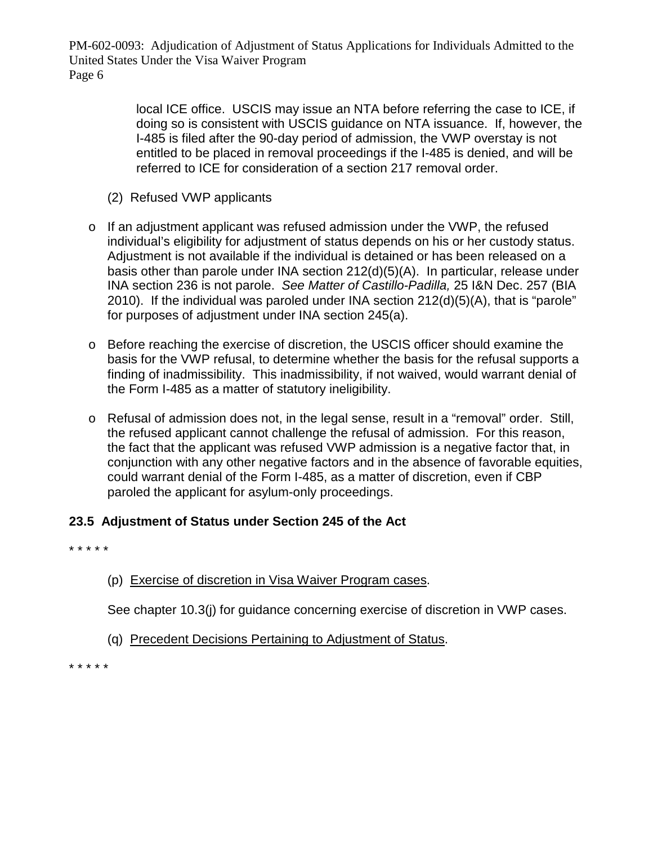> local ICE office. USCIS may issue an NTA before referring the case to ICE, if doing so is consistent with USCIS guidance on NTA issuance. If, however, the I-485 is filed after the 90-day period of admission, the VWP overstay is not entitled to be placed in removal proceedings if the I-485 is denied, and will be referred to ICE for consideration of a section 217 removal order.

- (2) Refused VWP applicants
- o If an adjustment applicant was refused admission under the VWP, the refused individual's eligibility for adjustment of status depends on his or her custody status. Adjustment is not available if the individual is detained or has been released on a basis other than parole under INA section 212(d)(5)(A). In particular, release under INA section 236 is not parole. *See Matter of Castillo-Padilla,* 25 I&N Dec. 257 (BIA 2010). If the individual was paroled under INA section 212(d)(5)(A), that is "parole" for purposes of adjustment under INA section 245(a).
- o Before reaching the exercise of discretion, the USCIS officer should examine the basis for the VWP refusal, to determine whether the basis for the refusal supports a finding of inadmissibility. This inadmissibility, if not waived, would warrant denial of the Form I-485 as a matter of statutory ineligibility.
- o Refusal of admission does not, in the legal sense, result in a "removal" order. Still, the refused applicant cannot challenge the refusal of admission. For this reason, the fact that the applicant was refused VWP admission is a negative factor that, in conjunction with any other negative factors and in the absence of favorable equities, could warrant denial of the Form I-485, as a matter of discretion, even if CBP paroled the applicant for asylum-only proceedings.

# **23.5 Adjustment of Status under Section 245 of the Act**

\* \* \* \* \*

(p) Exercise of discretion in Visa Waiver Program cases.

See chapter 10.3(j) for guidance concerning exercise of discretion in VWP cases.

(q) Precedent Decisions Pertaining to Adjustment of Status.

\* \* \* \* \*